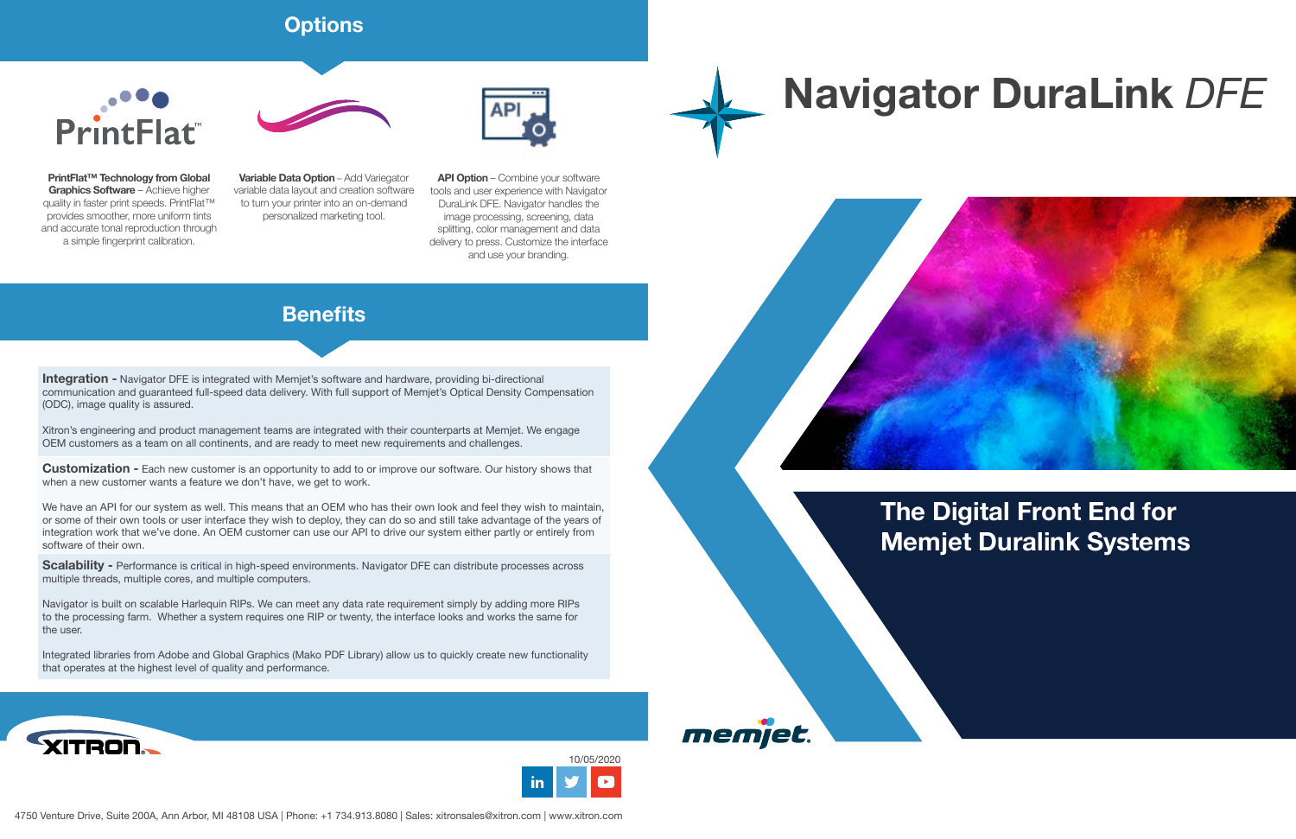## **The Digital Front End for Memjet Duralink Systems**

## **Navigator DuraLink** *DFE*





memjet



**API Option** – Combine your software tools and user experience with Navigator DuraLink DFE. Navigator handles the image processing, screening, data splitting, color management and data delivery to press. Customize the interface and use your branding.

**Variable Data Option** – Add Variegator variable data layout and creation software to turn your printer into an on-demand personalized marketing tool.

**PrintFlat™ Technology from Global Graphics Software** – Achieve higher quality in faster print speeds. PrintFlat<sup>™</sup> provides smoother, more uniform tints and accurate tonal reproduction through a simple fingerprint calibration.



## **Options**



**Integration -** Navigator DFE is integrated with Memjet's software and hardware, providing bi-directional communication and guaranteed full-speed data delivery. With full support of Memjet's Optical Density Compensation (ODC), image quality is assured.

Xitron's engineering and product management teams are integrated with their counterparts at Memjet. We engage OEM customers as a team on all continents, and are ready to meet new requirements and challenges.

**Customization -** Each new customer is an opportunity to add to or improve our software. Our history shows that when a new customer wants a feature we don't have, we get to work.

We have an API for our system as well. This means that an OEM who has their own look and feel they wish to maintain, or some of their own tools or user interface they wish to deploy, they can do so and still take advantage of the years of integration work that we've done. An OEM customer can use our API to drive our system either partly or entirely from software of their own.

**Scalability -** Performance is critical in high-speed environments. Navigator DFE can distribute processes across multiple threads, multiple cores, and multiple computers.

Navigator is built on scalable Harlequin RIPs. We can meet any data rate requirement simply by adding more RIPs to the processing farm. Whether a system requires one RIP or twenty, the interface looks and works the same for the user.

Integrated libraries from Adobe and Global Graphics (Mako PDF Library) allow us to quickly create new functionality that operates at the highest level of quality and performance.



## **Benefits**